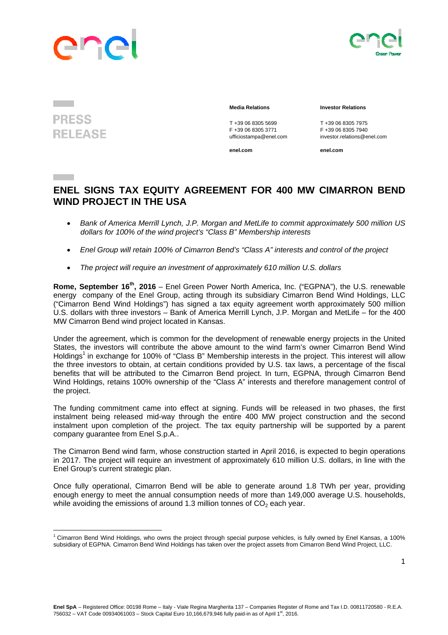



**PRESS RELEASE** 

## **Media Relations Investor Relations**

T +39 06 8305 5699<br>
F +39 06 8305 3771<br>
F +39 06 8305 3771<br>
F +39 06 8305 7940

**enel.com enel.com**

F +39 06 8305 3771 F +39 06 8305 7940 ufficiostampa@enel.com investor.relations@enel.com

## **ENEL SIGNS TAX EQUITY AGREEMENT FOR 400 MW CIMARRON BEND WIND PROJECT IN THE USA**

- *Bank of America Merrill Lynch, J.P. Morgan and MetLife to commit approximately 500 million US dollars for 100% of the wind project's "Class B" Membership interests*
- *Enel Group will retain 100% of Cimarron Bend's "Class A" interests and control of the project*
- *The project will require an investment of approximately 610 million U.S. dollars*

**Rome, September 16th, 2016** – Enel Green Power North America, Inc. ("EGPNA"), the U.S. renewable energy company of the Enel Group, acting through its subsidiary Cimarron Bend Wind Holdings, LLC ("Cimarron Bend Wind Holdings") has signed a tax equity agreement worth approximately 500 million U.S. dollars with three investors – Bank of America Merrill Lynch, J.P. Morgan and MetLife – for the 400 MW Cimarron Bend wind project located in Kansas.

Under the agreement, which is common for the development of renewable energy projects in the United States, the investors will contribute the above amount to the wind farm's owner Cimarron Bend Wind Holdings<sup>1</sup> in exchange for 100% of "Class B" Membership interests in the project. This interest will allow the three investors to obtain, at certain conditions provided by U.S. tax laws, a percentage of the fiscal benefits that will be attributed to the Cimarron Bend project. In turn, EGPNA, through Cimarron Bend Wind Holdings, retains 100% ownership of the "Class A" interests and therefore management control of the project.

The funding commitment came into effect at signing. Funds will be released in two phases, the first instalment being released mid-way through the entire 400 MW project construction and the second instalment upon completion of the project. The tax equity partnership will be supported by a parent company guarantee from Enel S.p.A..

The Cimarron Bend wind farm, whose construction started in April 2016, is expected to begin operations in 2017. The project will require an investment of approximately 610 million U.S. dollars, in line with the Enel Group's current strategic plan.

Once fully operational, Cimarron Bend will be able to generate around 1.8 TWh per year, providing enough energy to meet the annual consumption needs of more than 149,000 average U.S. households, while avoiding the emissions of around 1.3 million tonnes of  $CO<sub>2</sub>$  each year.

 <sup>1</sup> Cimarron Bend Wind Holdings, who owns the project through special purpose vehicles, is fully owned by Enel Kansas, a 100% subsidiary of EGPNA. Cimarron Bend Wind Holdings has taken over the project assets from Cimarron Bend Wind Project, LLC.